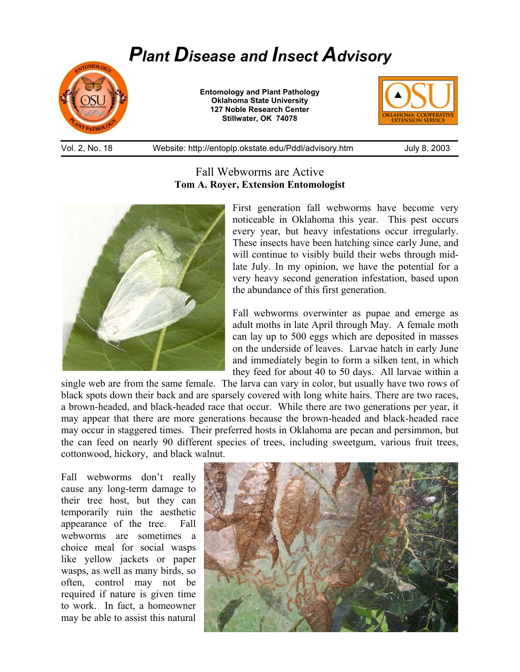## *Plant Disease and Insect Advisory*



**Entomology and Plant Pathology Oklahoma State University 127 Noble Research Center Stillwater, OK 74078** 



Vol. 2, No. 18 Website: http://entoplp.okstate.edu/Pddl/advisory.htm July 8, 2003

## Fall Webworms are Active **Tom A. Royer, Extension Entomologist**



First generation fall webworms have become very noticeable in Oklahoma this year. This pest occurs every year, but heavy infestations occur irregularly. These insects have been hatching since early June, and will continue to visibly build their webs through midlate July. In my opinion, we have the potential for a very heavy second generation infestation, based upon the abundance of this first generation.

Fall webworms overwinter as pupae and emerge as adult moths in late April through May. A female moth can lay up to 500 eggs which are deposited in masses on the underside of leaves. Larvae hatch in early June and immediately begin to form a silken tent, in which they feed for about 40 to 50 days. All larvae within a

single web are from the same female. The larva can vary in color, but usually have two rows of black spots down their back and are sparsely covered with long white hairs. There are two races, a brown-headed, and black-headed race that occur. While there are two generations per year, it may appear that there are more generations because the brown-headed and black-headed race may occur in staggered times. Their preferred hosts in Oklahoma are pecan and persimmon, but the can feed on nearly 90 different species of trees, including sweetgum, various fruit trees, cottonwood, hickory, and black walnut.

Fall webworms don't really cause any long-term damage to their tree host, but they can temporarily ruin the aesthetic appearance of the tree. Fall webworms are sometimes a choice meal for social wasps like yellow jackets or paper wasps, as well as many birds, so often, control may not be required if nature is given time to work. In fact, a homeowner may be able to assist this natural